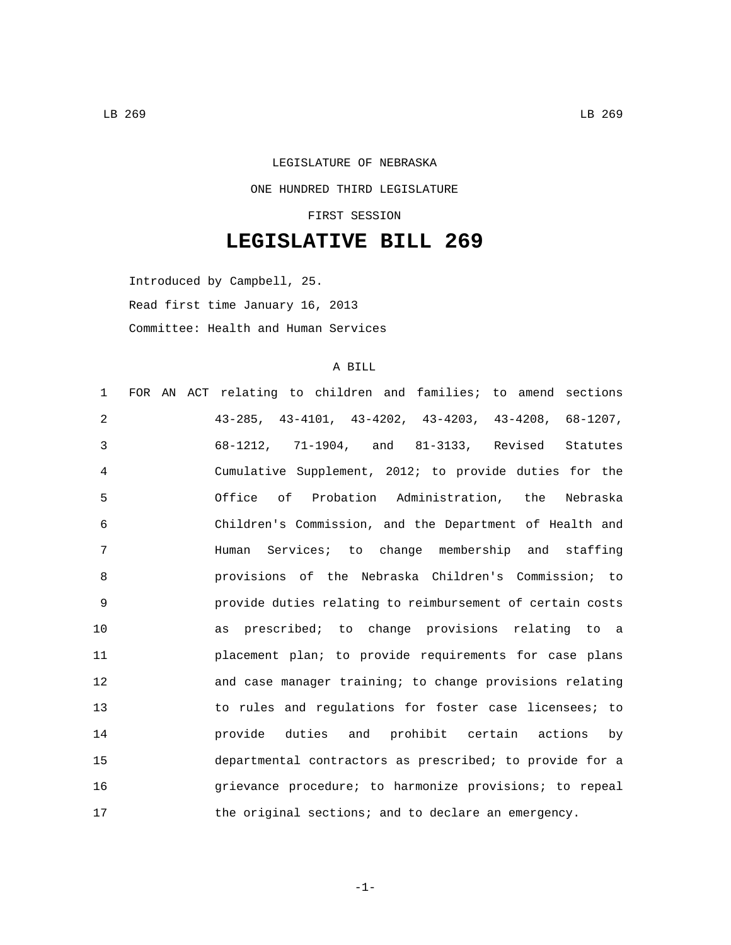## LEGISLATURE OF NEBRASKA ONE HUNDRED THIRD LEGISLATURE FIRST SESSION

## **LEGISLATIVE BILL 269**

Introduced by Campbell, 25. Read first time January 16, 2013 Committee: Health and Human Services

## A BILL

| $\mathbf{1}$ | FOR AN ACT relating to children and families; to amend sections        |
|--------------|------------------------------------------------------------------------|
| 2            | $43-285$ , $43-4101$ , $43-4202$ , $43-4203$ , $43-4208$ , $68-1207$ , |
| 3            | 68-1212, 71-1904, and 81-3133, Revised Statutes                        |
| 4            | Cumulative Supplement, 2012; to provide duties for the                 |
| 5            | Office of Probation Administration, the Nebraska                       |
| 6            | Children's Commission, and the Department of Health and                |
| 7            | Human Services; to change membership and staffing                      |
| 8            | provisions of the Nebraska Children's Commission; to                   |
| 9            | provide duties relating to reimbursement of certain costs              |
| 10           | as prescribed; to change provisions relating to a                      |
| 11           | placement plan; to provide requirements for case plans                 |
| 12           | and case manager training; to change provisions relating               |
| 13           | to rules and regulations for foster case licensees; to                 |
| 14           | provide duties and prohibit certain actions by                         |
| 15           | departmental contractors as prescribed; to provide for a               |
| 16           | grievance procedure; to harmonize provisions; to repeal                |
| 17           | the original sections; and to declare an emergency.                    |

-1-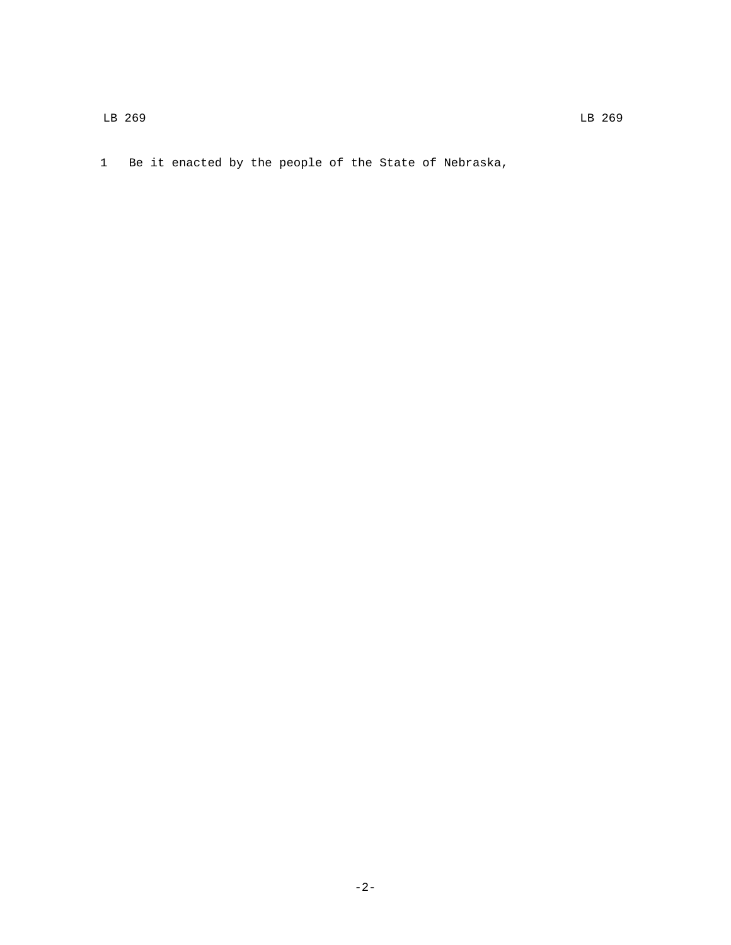1 Be it enacted by the people of the State of Nebraska,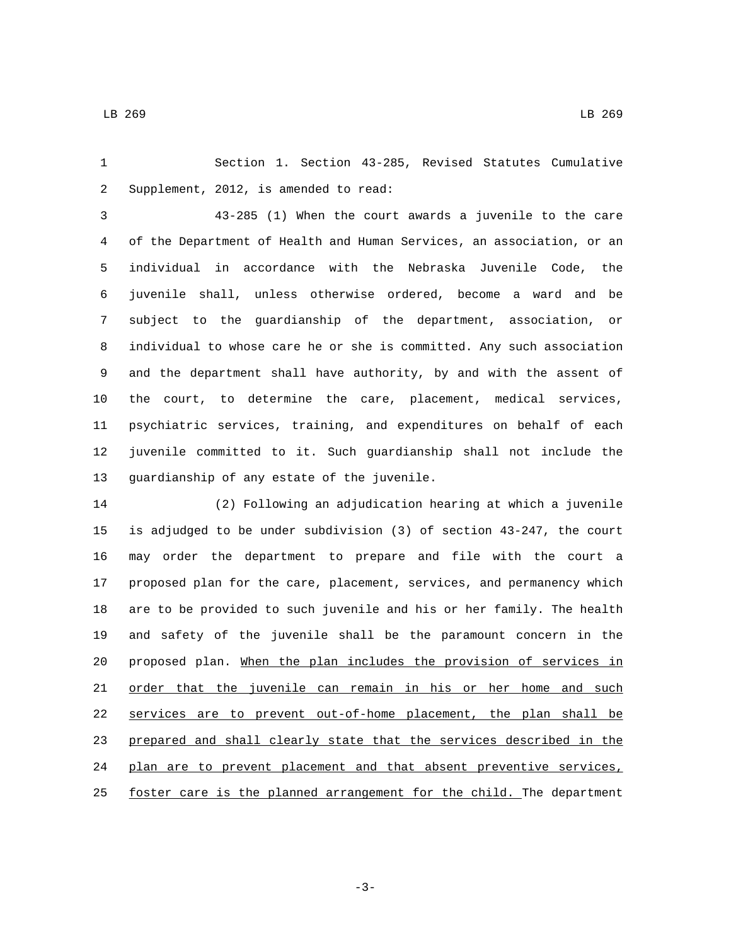Section 1. Section 43-285, Revised Statutes Cumulative 2 Supplement, 2012, is amended to read:

 43-285 (1) When the court awards a juvenile to the care of the Department of Health and Human Services, an association, or an individual in accordance with the Nebraska Juvenile Code, the juvenile shall, unless otherwise ordered, become a ward and be subject to the guardianship of the department, association, or individual to whose care he or she is committed. Any such association and the department shall have authority, by and with the assent of the court, to determine the care, placement, medical services, psychiatric services, training, and expenditures on behalf of each juvenile committed to it. Such guardianship shall not include the 13 guardianship of any estate of the juvenile.

 (2) Following an adjudication hearing at which a juvenile is adjudged to be under subdivision (3) of section 43-247, the court may order the department to prepare and file with the court a proposed plan for the care, placement, services, and permanency which are to be provided to such juvenile and his or her family. The health and safety of the juvenile shall be the paramount concern in the proposed plan. When the plan includes the provision of services in order that the juvenile can remain in his or her home and such services are to prevent out-of-home placement, the plan shall be prepared and shall clearly state that the services described in the plan are to prevent placement and that absent preventive services, foster care is the planned arrangement for the child. The department

-3-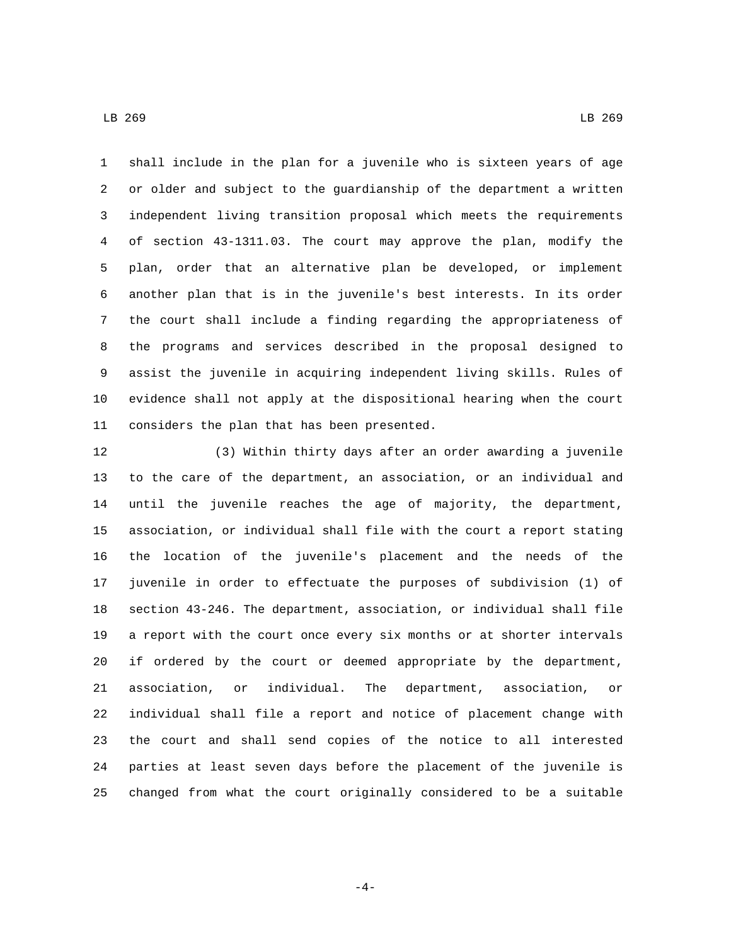LB 269 LB 269

 shall include in the plan for a juvenile who is sixteen years of age or older and subject to the guardianship of the department a written independent living transition proposal which meets the requirements of section 43-1311.03. The court may approve the plan, modify the plan, order that an alternative plan be developed, or implement another plan that is in the juvenile's best interests. In its order the court shall include a finding regarding the appropriateness of the programs and services described in the proposal designed to assist the juvenile in acquiring independent living skills. Rules of evidence shall not apply at the dispositional hearing when the court 11 considers the plan that has been presented.

 (3) Within thirty days after an order awarding a juvenile to the care of the department, an association, or an individual and until the juvenile reaches the age of majority, the department, association, or individual shall file with the court a report stating the location of the juvenile's placement and the needs of the juvenile in order to effectuate the purposes of subdivision (1) of section 43-246. The department, association, or individual shall file a report with the court once every six months or at shorter intervals if ordered by the court or deemed appropriate by the department, association, or individual. The department, association, or individual shall file a report and notice of placement change with the court and shall send copies of the notice to all interested parties at least seven days before the placement of the juvenile is changed from what the court originally considered to be a suitable

-4-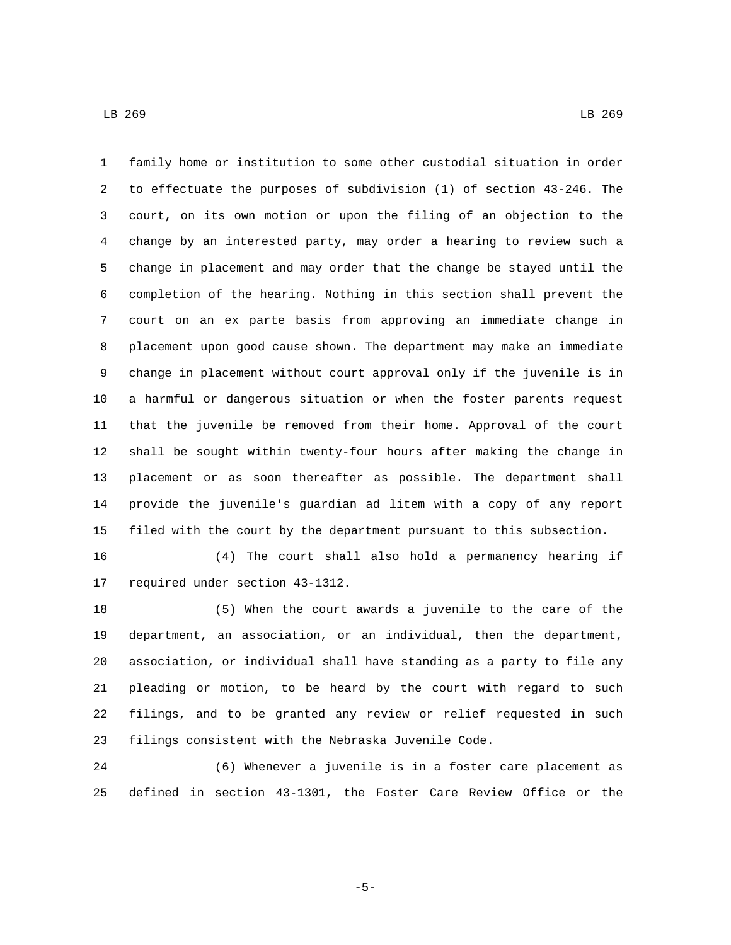family home or institution to some other custodial situation in order to effectuate the purposes of subdivision (1) of section 43-246. The court, on its own motion or upon the filing of an objection to the change by an interested party, may order a hearing to review such a change in placement and may order that the change be stayed until the completion of the hearing. Nothing in this section shall prevent the court on an ex parte basis from approving an immediate change in placement upon good cause shown. The department may make an immediate change in placement without court approval only if the juvenile is in a harmful or dangerous situation or when the foster parents request that the juvenile be removed from their home. Approval of the court shall be sought within twenty-four hours after making the change in placement or as soon thereafter as possible. The department shall provide the juvenile's guardian ad litem with a copy of any report filed with the court by the department pursuant to this subsection.

 (4) The court shall also hold a permanency hearing if 17 required under section 43-1312.

 (5) When the court awards a juvenile to the care of the department, an association, or an individual, then the department, association, or individual shall have standing as a party to file any pleading or motion, to be heard by the court with regard to such filings, and to be granted any review or relief requested in such filings consistent with the Nebraska Juvenile Code.

 (6) Whenever a juvenile is in a foster care placement as defined in section 43-1301, the Foster Care Review Office or the

-5-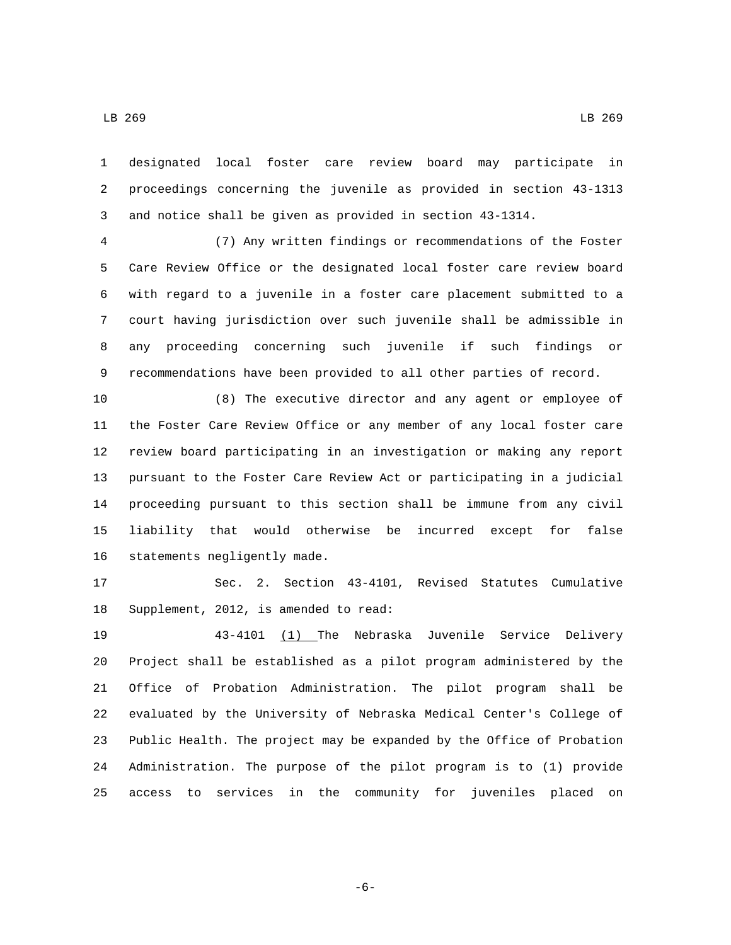LB 269 LB 269

 designated local foster care review board may participate in proceedings concerning the juvenile as provided in section 43-1313 and notice shall be given as provided in section 43-1314.

 (7) Any written findings or recommendations of the Foster Care Review Office or the designated local foster care review board with regard to a juvenile in a foster care placement submitted to a court having jurisdiction over such juvenile shall be admissible in any proceeding concerning such juvenile if such findings or recommendations have been provided to all other parties of record.

 (8) The executive director and any agent or employee of the Foster Care Review Office or any member of any local foster care review board participating in an investigation or making any report pursuant to the Foster Care Review Act or participating in a judicial proceeding pursuant to this section shall be immune from any civil liability that would otherwise be incurred except for false 16 statements negligently made.

 Sec. 2. Section 43-4101, Revised Statutes Cumulative 18 Supplement, 2012, is amended to read:

 43-4101 (1) The Nebraska Juvenile Service Delivery Project shall be established as a pilot program administered by the Office of Probation Administration. The pilot program shall be evaluated by the University of Nebraska Medical Center's College of Public Health. The project may be expanded by the Office of Probation Administration. The purpose of the pilot program is to (1) provide access to services in the community for juveniles placed on

-6-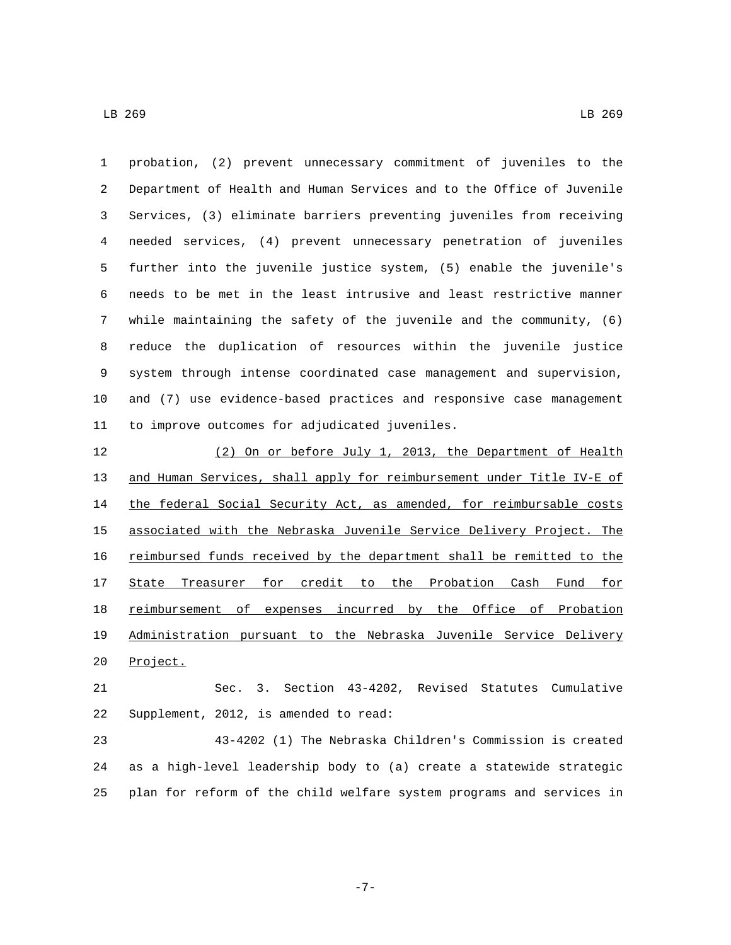probation, (2) prevent unnecessary commitment of juveniles to the Department of Health and Human Services and to the Office of Juvenile Services, (3) eliminate barriers preventing juveniles from receiving needed services, (4) prevent unnecessary penetration of juveniles further into the juvenile justice system, (5) enable the juvenile's needs to be met in the least intrusive and least restrictive manner while maintaining the safety of the juvenile and the community, (6) reduce the duplication of resources within the juvenile justice system through intense coordinated case management and supervision, and (7) use evidence-based practices and responsive case management 11 to improve outcomes for adjudicated juveniles.

 (2) On or before July 1, 2013, the Department of Health and Human Services, shall apply for reimbursement under Title IV-E of 14 the federal Social Security Act, as amended, for reimbursable costs associated with the Nebraska Juvenile Service Delivery Project. The reimbursed funds received by the department shall be remitted to the State Treasurer for credit to the Probation Cash Fund for 18 reimbursement of expenses incurred by the Office of Probation Administration pursuant to the Nebraska Juvenile Service Delivery 20 Project.

 Sec. 3. Section 43-4202, Revised Statutes Cumulative Supplement, 2012, is amended to read:

 43-4202 (1) The Nebraska Children's Commission is created as a high-level leadership body to (a) create a statewide strategic plan for reform of the child welfare system programs and services in

-7-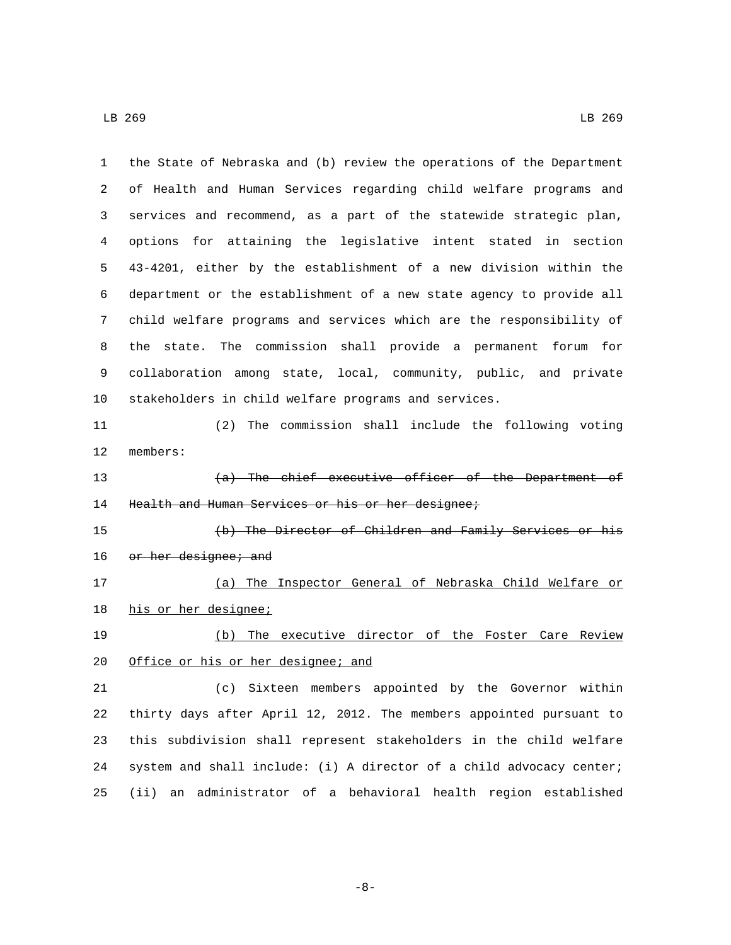| 1  | the State of Nebraska and (b) review the operations of the Department |  |  |
|----|-----------------------------------------------------------------------|--|--|
| 2  | of Health and Human Services regarding child welfare programs and     |  |  |
| 3  | services and recommend, as a part of the statewide strategic plan,    |  |  |
| 4  | options for attaining the legislative intent stated in section        |  |  |
| 5  | 43-4201, either by the establishment of a new division within the     |  |  |
| 6  | department or the establishment of a new state agency to provide all  |  |  |
| 7  | child welfare programs and services which are the responsibility of   |  |  |
| 8  | the state. The commission shall provide a permanent forum for         |  |  |
| 9  | collaboration among state, local, community, public, and private      |  |  |
| 10 | stakeholders in child welfare programs and services.                  |  |  |
| 11 | The commission shall include the following voting<br>(2)              |  |  |
| 12 | members:                                                              |  |  |
| 13 | (a) The chief executive officer of the Department of                  |  |  |
| 14 | Health and Human Services or his or her designee;                     |  |  |
| 15 | (b) The Director of Children and Family Services or his               |  |  |
| 16 | or her designee; and                                                  |  |  |
| 17 | (a) The Inspector General of Nebraska Child Welfare or                |  |  |
| 18 | his or her designee;                                                  |  |  |
| 19 | (b) The executive director of the Foster Care Review                  |  |  |
| 20 | Office or his or her designee; and                                    |  |  |
| 21 | (c) Sixteen members appointed by the Governor within                  |  |  |
| 22 | thirty days after April 12, 2012. The members appointed pursuant to   |  |  |
| 23 | this subdivision shall represent stakeholders in the child welfare    |  |  |
| 24 | system and shall include: (i) A director of a child advocacy center;  |  |  |
| 25 | an administrator of a behavioral health region established<br>(iii)   |  |  |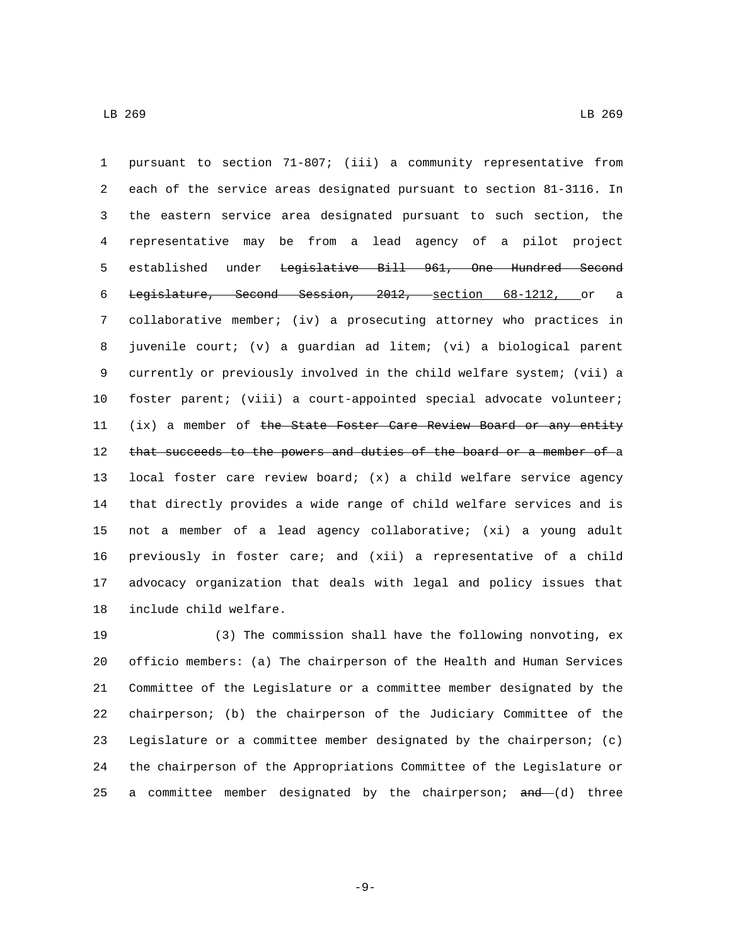pursuant to section 71-807; (iii) a community representative from each of the service areas designated pursuant to section 81-3116. In the eastern service area designated pursuant to such section, the representative may be from a lead agency of a pilot project established under Legislative Bill 961, One Hundred Second Legislature, Second Session, 2012, section 68-1212, or a collaborative member; (iv) a prosecuting attorney who practices in juvenile court; (v) a guardian ad litem; (vi) a biological parent currently or previously involved in the child welfare system; (vii) a foster parent; (viii) a court-appointed special advocate volunteer; 11 (ix) a member of the State Foster Care Review Board or any entity 12 that succeeds to the powers and duties of the board or a member of a local foster care review board; (x) a child welfare service agency that directly provides a wide range of child welfare services and is not a member of a lead agency collaborative; (xi) a young adult previously in foster care; and (xii) a representative of a child advocacy organization that deals with legal and policy issues that 18 include child welfare.

 (3) The commission shall have the following nonvoting, ex officio members: (a) The chairperson of the Health and Human Services Committee of the Legislature or a committee member designated by the chairperson; (b) the chairperson of the Judiciary Committee of the Legislature or a committee member designated by the chairperson; (c) the chairperson of the Appropriations Committee of the Legislature or 25 a committee member designated by the chairperson;  $and$  (d) three

-9-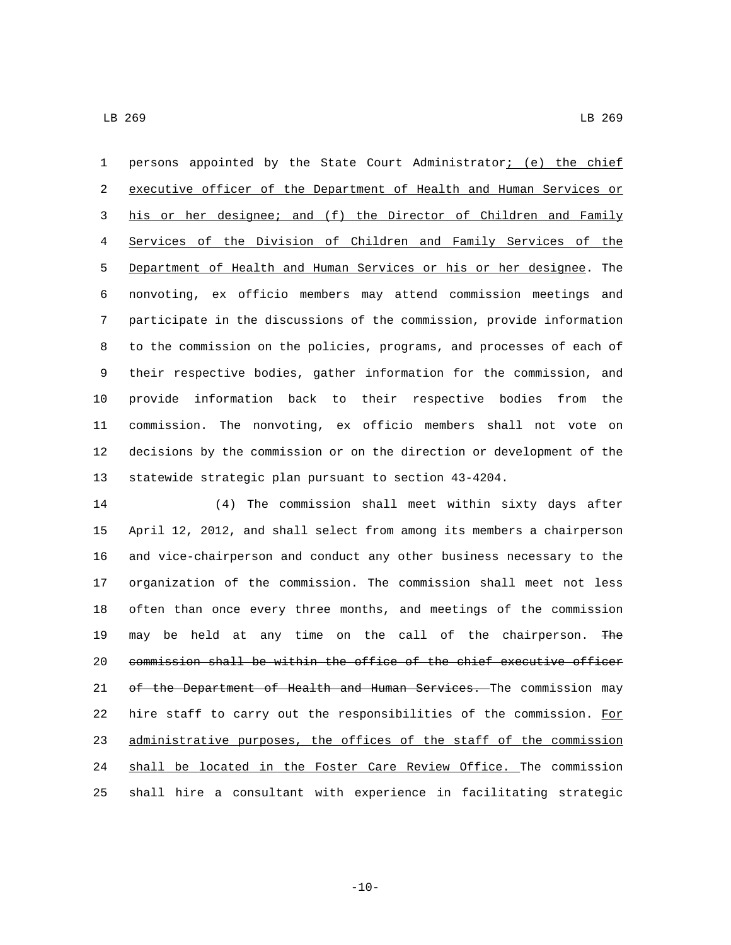persons appointed by the State Court Administrator; (e) the chief executive officer of the Department of Health and Human Services or his or her designee; and (f) the Director of Children and Family Services of the Division of Children and Family Services of the Department of Health and Human Services or his or her designee. The nonvoting, ex officio members may attend commission meetings and participate in the discussions of the commission, provide information to the commission on the policies, programs, and processes of each of their respective bodies, gather information for the commission, and provide information back to their respective bodies from the commission. The nonvoting, ex officio members shall not vote on decisions by the commission or on the direction or development of the statewide strategic plan pursuant to section 43-4204.

 (4) The commission shall meet within sixty days after April 12, 2012, and shall select from among its members a chairperson and vice-chairperson and conduct any other business necessary to the organization of the commission. The commission shall meet not less often than once every three months, and meetings of the commission 19 may be held at any time on the call of the chairperson. The commission shall be within the office of the chief executive officer 21 of the Department of Health and Human Services. The commission may 22 hire staff to carry out the responsibilities of the commission. For 23 administrative purposes, the offices of the staff of the commission 24 shall be located in the Foster Care Review Office. The commission shall hire a consultant with experience in facilitating strategic

 $-10-$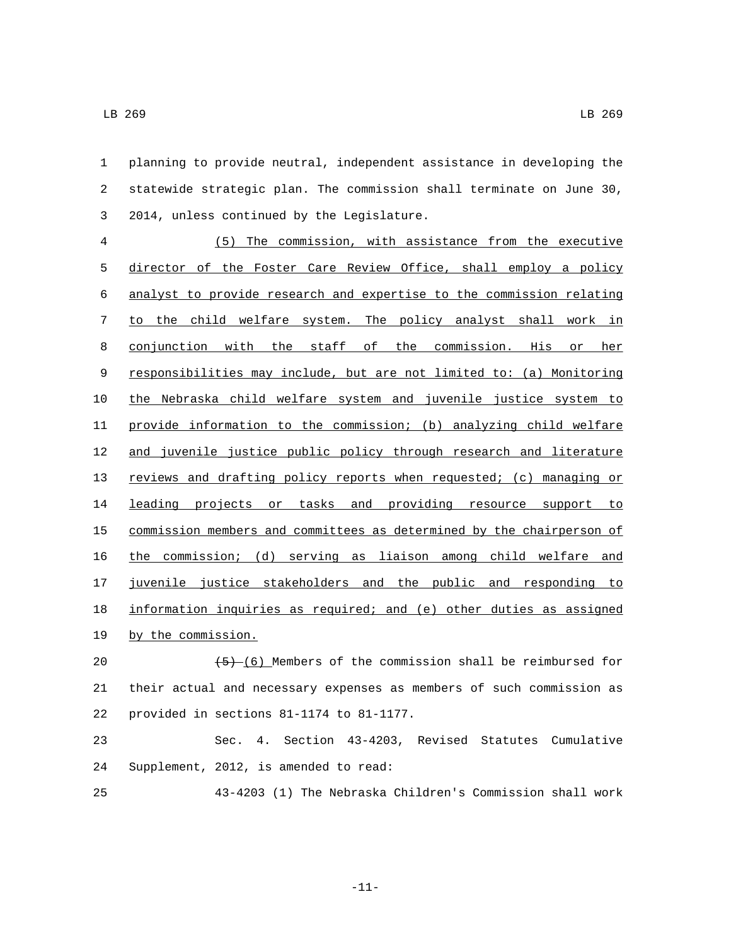planning to provide neutral, independent assistance in developing the statewide strategic plan. The commission shall terminate on June 30, 3 2014, unless continued by the Legislature.

 (5) The commission, with assistance from the executive director of the Foster Care Review Office, shall employ a policy analyst to provide research and expertise to the commission relating to the child welfare system. The policy analyst shall work in conjunction with the staff of the commission. His or her responsibilities may include, but are not limited to: (a) Monitoring the Nebraska child welfare system and juvenile justice system to provide information to the commission; (b) analyzing child welfare 12 and juvenile justice public policy through research and literature reviews and drafting policy reports when requested; (c) managing or leading projects or tasks and providing resource support to commission members and committees as determined by the chairperson of the commission; (d) serving as liaison among child welfare and juvenile justice stakeholders and the public and responding to information inquiries as required; and (e) other duties as assigned 19 by the commission.

20  $\leftarrow$   $\leftarrow$   $\leftarrow$  5) (6) Members of the commission shall be reimbursed for their actual and necessary expenses as members of such commission as 22 provided in sections 81-1174 to 81-1177.

 Sec. 4. Section 43-4203, Revised Statutes Cumulative 24 Supplement, 2012, is amended to read:

43-4203 (1) The Nebraska Children's Commission shall work

-11-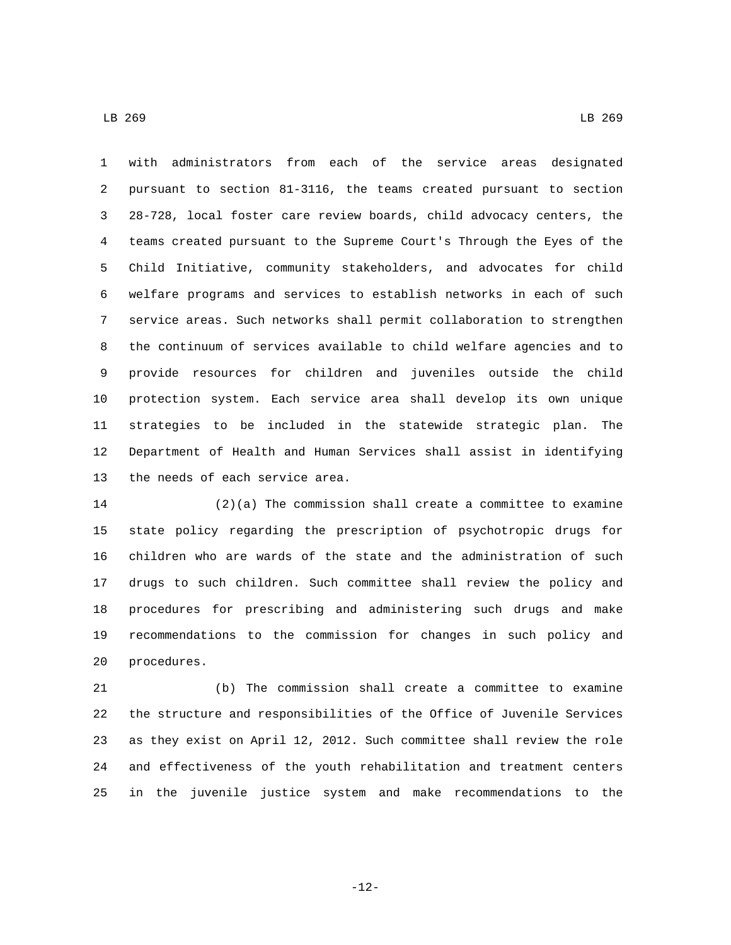with administrators from each of the service areas designated pursuant to section 81-3116, the teams created pursuant to section 28-728, local foster care review boards, child advocacy centers, the teams created pursuant to the Supreme Court's Through the Eyes of the Child Initiative, community stakeholders, and advocates for child welfare programs and services to establish networks in each of such service areas. Such networks shall permit collaboration to strengthen the continuum of services available to child welfare agencies and to provide resources for children and juveniles outside the child protection system. Each service area shall develop its own unique strategies to be included in the statewide strategic plan. The Department of Health and Human Services shall assist in identifying 13 the needs of each service area.

 (2)(a) The commission shall create a committee to examine state policy regarding the prescription of psychotropic drugs for children who are wards of the state and the administration of such drugs to such children. Such committee shall review the policy and procedures for prescribing and administering such drugs and make recommendations to the commission for changes in such policy and 20 procedures.

 (b) The commission shall create a committee to examine the structure and responsibilities of the Office of Juvenile Services as they exist on April 12, 2012. Such committee shall review the role and effectiveness of the youth rehabilitation and treatment centers in the juvenile justice system and make recommendations to the

-12-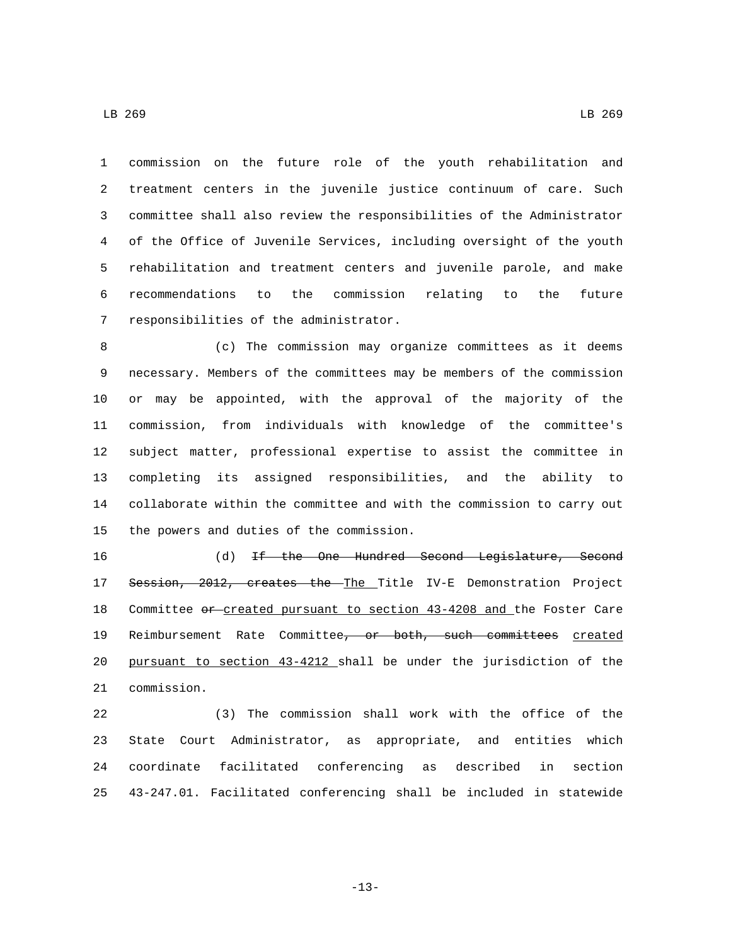LB 269 LB 269

 commission on the future role of the youth rehabilitation and treatment centers in the juvenile justice continuum of care. Such committee shall also review the responsibilities of the Administrator of the Office of Juvenile Services, including oversight of the youth rehabilitation and treatment centers and juvenile parole, and make recommendations to the commission relating to the future 7 responsibilities of the administrator.

 (c) The commission may organize committees as it deems necessary. Members of the committees may be members of the commission or may be appointed, with the approval of the majority of the commission, from individuals with knowledge of the committee's subject matter, professional expertise to assist the committee in completing its assigned responsibilities, and the ability to collaborate within the committee and with the commission to carry out 15 the powers and duties of the commission.

 (d) If the One Hundred Second Legislature, Second 17 Session, 2012, creates the The Title IV-E Demonstration Project 18 Committee or created pursuant to section 43-4208 and the Foster Care 19 Reimbursement Rate Committee, or both, such committees created pursuant to section 43-4212 shall be under the jurisdiction of the 21 commission.

 (3) The commission shall work with the office of the State Court Administrator, as appropriate, and entities which coordinate facilitated conferencing as described in section 43-247.01. Facilitated conferencing shall be included in statewide

-13-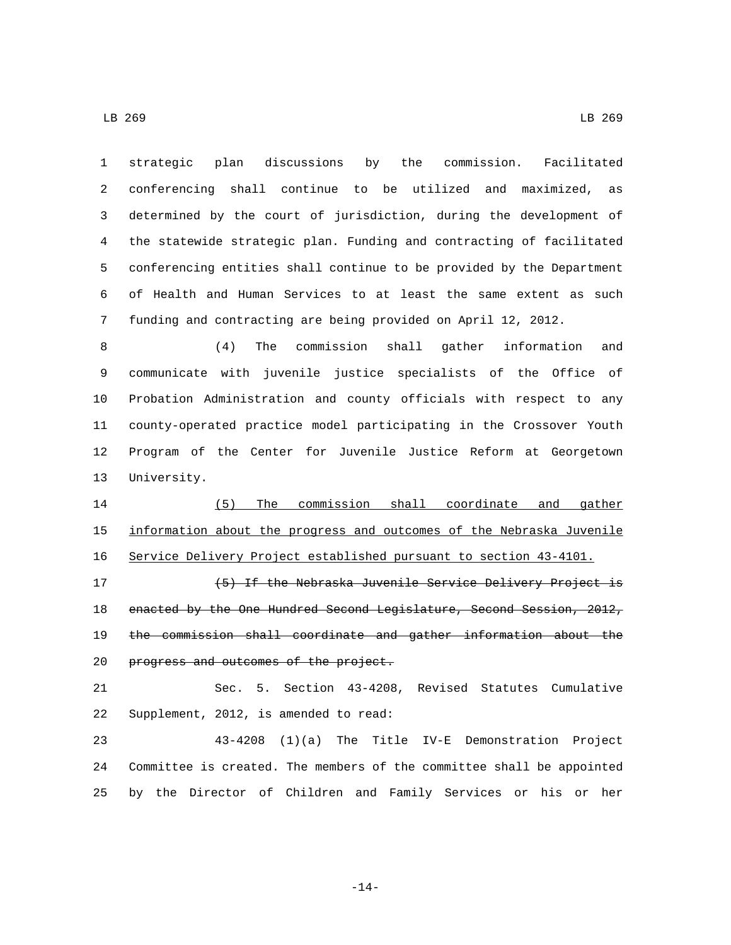strategic plan discussions by the commission. Facilitated conferencing shall continue to be utilized and maximized, as determined by the court of jurisdiction, during the development of the statewide strategic plan. Funding and contracting of facilitated conferencing entities shall continue to be provided by the Department of Health and Human Services to at least the same extent as such funding and contracting are being provided on April 12, 2012. (4) The commission shall gather information and communicate with juvenile justice specialists of the Office of Probation Administration and county officials with respect to any county-operated practice model participating in the Crossover Youth Program of the Center for Juvenile Justice Reform at Georgetown 13 University. (5) The commission shall coordinate and gather information about the progress and outcomes of the Nebraska Juvenile Service Delivery Project established pursuant to section 43-4101. 17 (5) If the Nebraska Juvenile Service Delivery Project is 18 enacted by the One Hundred Second Legislature, Second Session, 2012, 19 the commission shall coordinate and gather information about the 20 progress and outcomes of the project. Sec. 5. Section 43-4208, Revised Statutes Cumulative 22 Supplement, 2012, is amended to read: 43-4208 (1)(a) The Title IV-E Demonstration Project Committee is created. The members of the committee shall be appointed by the Director of Children and Family Services or his or her

-14-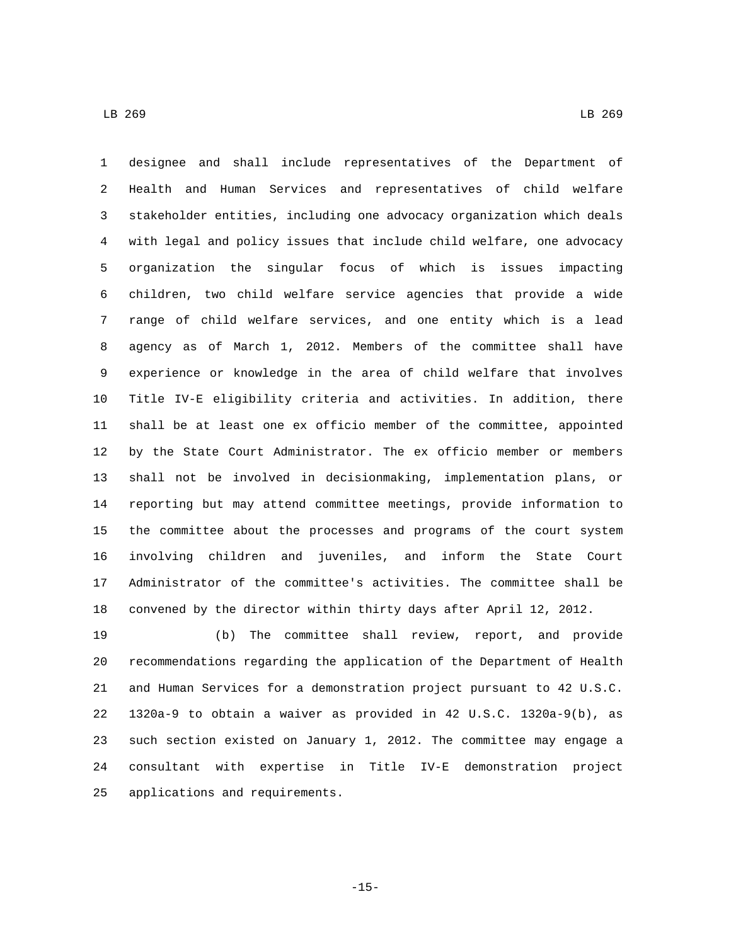designee and shall include representatives of the Department of Health and Human Services and representatives of child welfare stakeholder entities, including one advocacy organization which deals with legal and policy issues that include child welfare, one advocacy organization the singular focus of which is issues impacting children, two child welfare service agencies that provide a wide range of child welfare services, and one entity which is a lead agency as of March 1, 2012. Members of the committee shall have experience or knowledge in the area of child welfare that involves Title IV-E eligibility criteria and activities. In addition, there shall be at least one ex officio member of the committee, appointed by the State Court Administrator. The ex officio member or members shall not be involved in decisionmaking, implementation plans, or reporting but may attend committee meetings, provide information to the committee about the processes and programs of the court system involving children and juveniles, and inform the State Court Administrator of the committee's activities. The committee shall be convened by the director within thirty days after April 12, 2012.

 (b) The committee shall review, report, and provide recommendations regarding the application of the Department of Health and Human Services for a demonstration project pursuant to 42 U.S.C. 1320a-9 to obtain a waiver as provided in 42 U.S.C. 1320a-9(b), as such section existed on January 1, 2012. The committee may engage a consultant with expertise in Title IV-E demonstration project 25 applications and requirements.

-15-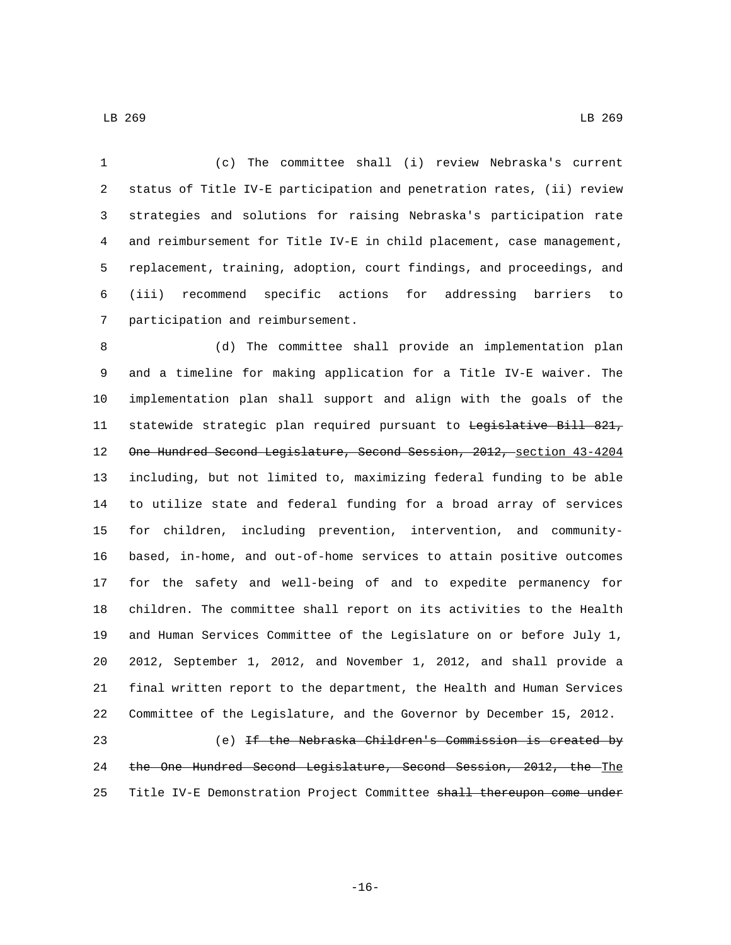(c) The committee shall (i) review Nebraska's current status of Title IV-E participation and penetration rates, (ii) review strategies and solutions for raising Nebraska's participation rate and reimbursement for Title IV-E in child placement, case management, replacement, training, adoption, court findings, and proceedings, and (iii) recommend specific actions for addressing barriers to 7 participation and reimbursement.

 (d) The committee shall provide an implementation plan and a timeline for making application for a Title IV-E waiver. The implementation plan shall support and align with the goals of the 11 statewide strategic plan required pursuant to <del>Legislative Bill 821,</del> 12 One Hundred Second Legislature, Second Session, 2012, section 43-4204 including, but not limited to, maximizing federal funding to be able to utilize state and federal funding for a broad array of services for children, including prevention, intervention, and community- based, in-home, and out-of-home services to attain positive outcomes for the safety and well-being of and to expedite permanency for children. The committee shall report on its activities to the Health and Human Services Committee of the Legislature on or before July 1, 2012, September 1, 2012, and November 1, 2012, and shall provide a final written report to the department, the Health and Human Services Committee of the Legislature, and the Governor by December 15, 2012.

 (e) If the Nebraska Children's Commission is created by the One Hundred Second Legislature, Second Session, 2012, the The Title IV-E Demonstration Project Committee shall thereupon come under

LB 269 LB 269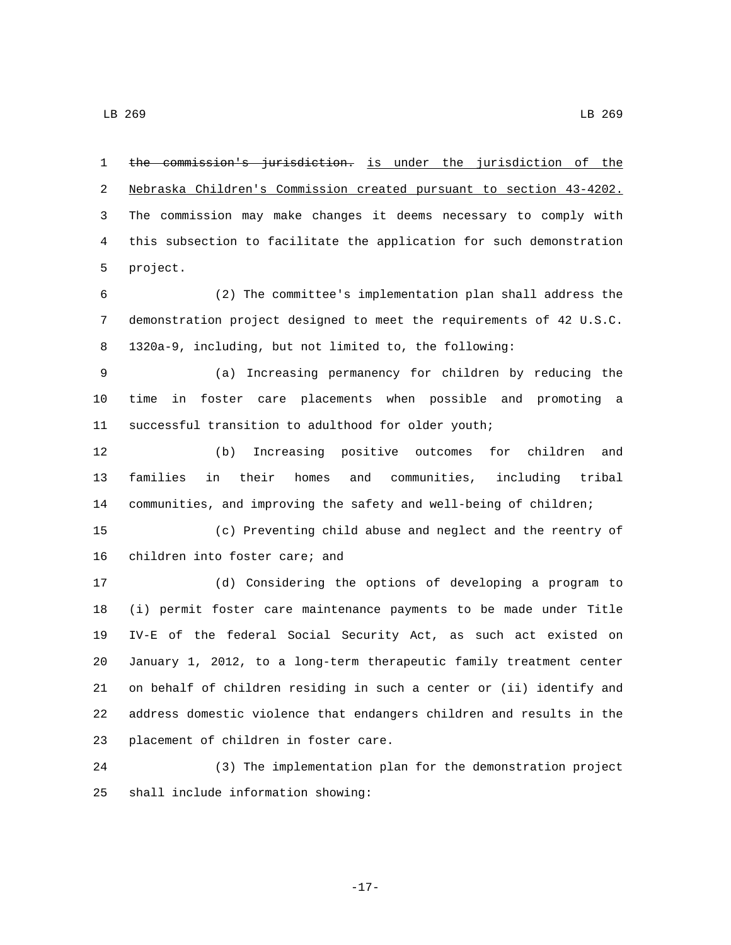the commission's jurisdiction. is under the jurisdiction of the Nebraska Children's Commission created pursuant to section 43-4202. The commission may make changes it deems necessary to comply with this subsection to facilitate the application for such demonstration 5 project.

 (2) The committee's implementation plan shall address the demonstration project designed to meet the requirements of 42 U.S.C. 1320a-9, including, but not limited to, the following:

 (a) Increasing permanency for children by reducing the time in foster care placements when possible and promoting a successful transition to adulthood for older youth;

 (b) Increasing positive outcomes for children and families in their homes and communities, including tribal communities, and improving the safety and well-being of children;

 (c) Preventing child abuse and neglect and the reentry of 16 children into foster care; and

 (d) Considering the options of developing a program to (i) permit foster care maintenance payments to be made under Title IV-E of the federal Social Security Act, as such act existed on January 1, 2012, to a long-term therapeutic family treatment center on behalf of children residing in such a center or (ii) identify and address domestic violence that endangers children and results in the 23 placement of children in foster care.

 (3) The implementation plan for the demonstration project 25 shall include information showing:

-17-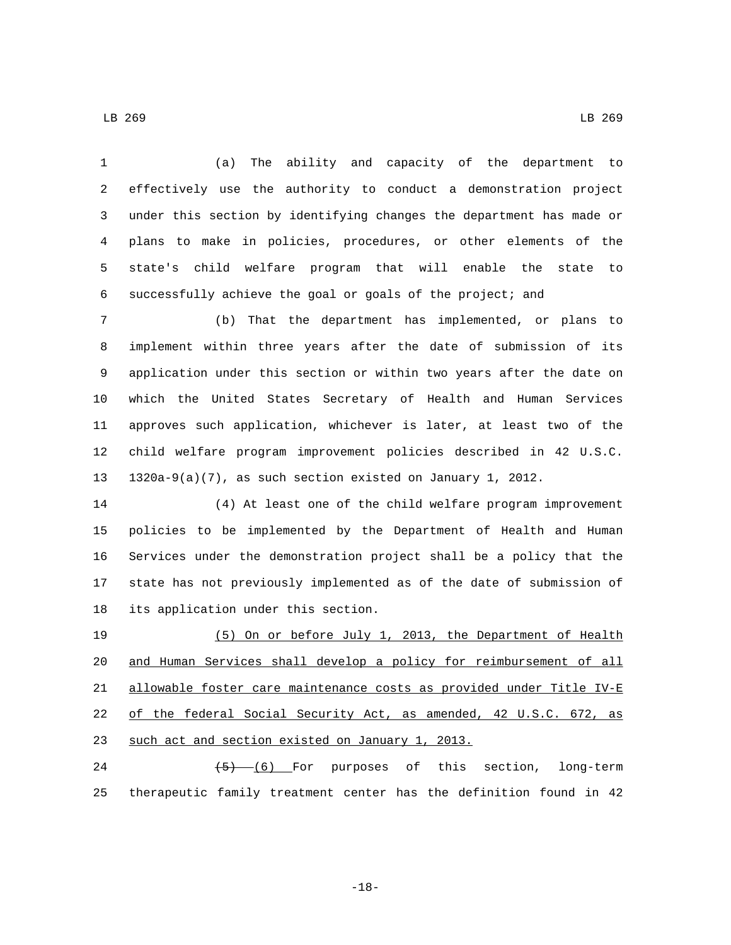(a) The ability and capacity of the department to effectively use the authority to conduct a demonstration project under this section by identifying changes the department has made or plans to make in policies, procedures, or other elements of the state's child welfare program that will enable the state to successfully achieve the goal or goals of the project; and

 (b) That the department has implemented, or plans to implement within three years after the date of submission of its application under this section or within two years after the date on which the United States Secretary of Health and Human Services approves such application, whichever is later, at least two of the child welfare program improvement policies described in 42 U.S.C. 1320a-9(a)(7), as such section existed on January 1, 2012.

 (4) At least one of the child welfare program improvement policies to be implemented by the Department of Health and Human Services under the demonstration project shall be a policy that the state has not previously implemented as of the date of submission of 18 its application under this section.

 (5) On or before July 1, 2013, the Department of Health and Human Services shall develop a policy for reimbursement of all allowable foster care maintenance costs as provided under Title IV-E of the federal Social Security Act, as amended, 42 U.S.C. 672, as 23 such act and section existed on January 1, 2013.

24 (5) (6) For purposes of this section, long-term therapeutic family treatment center has the definition found in 42

-18-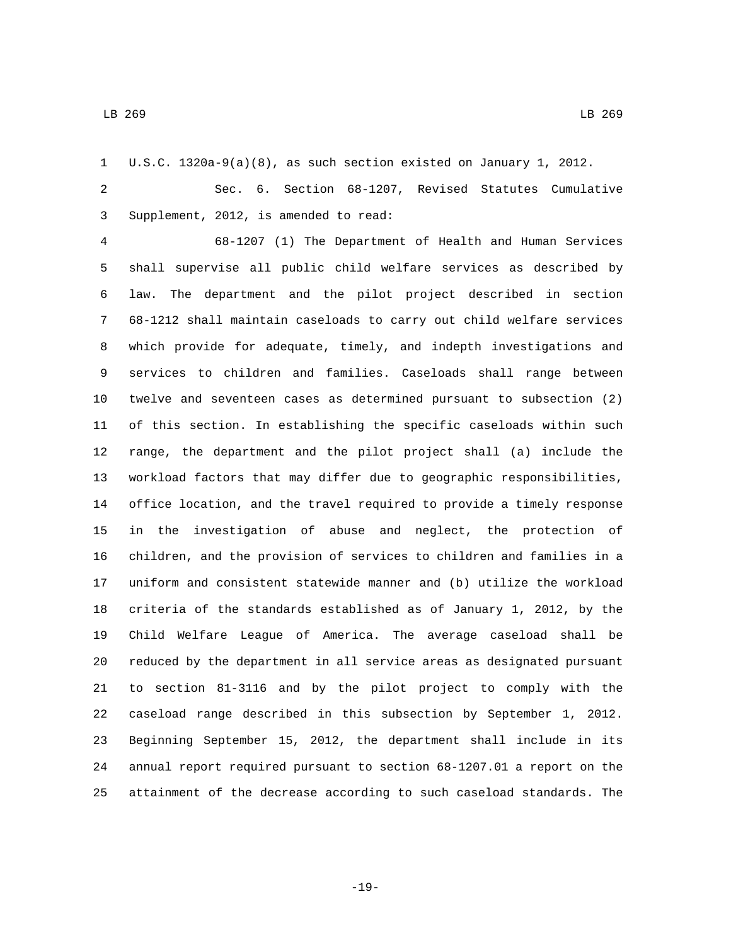U.S.C. 1320a-9(a)(8), as such section existed on January 1, 2012.

 Sec. 6. Section 68-1207, Revised Statutes Cumulative Supplement, 2012, is amended to read:

 68-1207 (1) The Department of Health and Human Services shall supervise all public child welfare services as described by law. The department and the pilot project described in section 68-1212 shall maintain caseloads to carry out child welfare services which provide for adequate, timely, and indepth investigations and services to children and families. Caseloads shall range between twelve and seventeen cases as determined pursuant to subsection (2) of this section. In establishing the specific caseloads within such range, the department and the pilot project shall (a) include the workload factors that may differ due to geographic responsibilities, office location, and the travel required to provide a timely response in the investigation of abuse and neglect, the protection of children, and the provision of services to children and families in a uniform and consistent statewide manner and (b) utilize the workload criteria of the standards established as of January 1, 2012, by the Child Welfare League of America. The average caseload shall be reduced by the department in all service areas as designated pursuant to section 81-3116 and by the pilot project to comply with the caseload range described in this subsection by September 1, 2012. Beginning September 15, 2012, the department shall include in its annual report required pursuant to section 68-1207.01 a report on the attainment of the decrease according to such caseload standards. The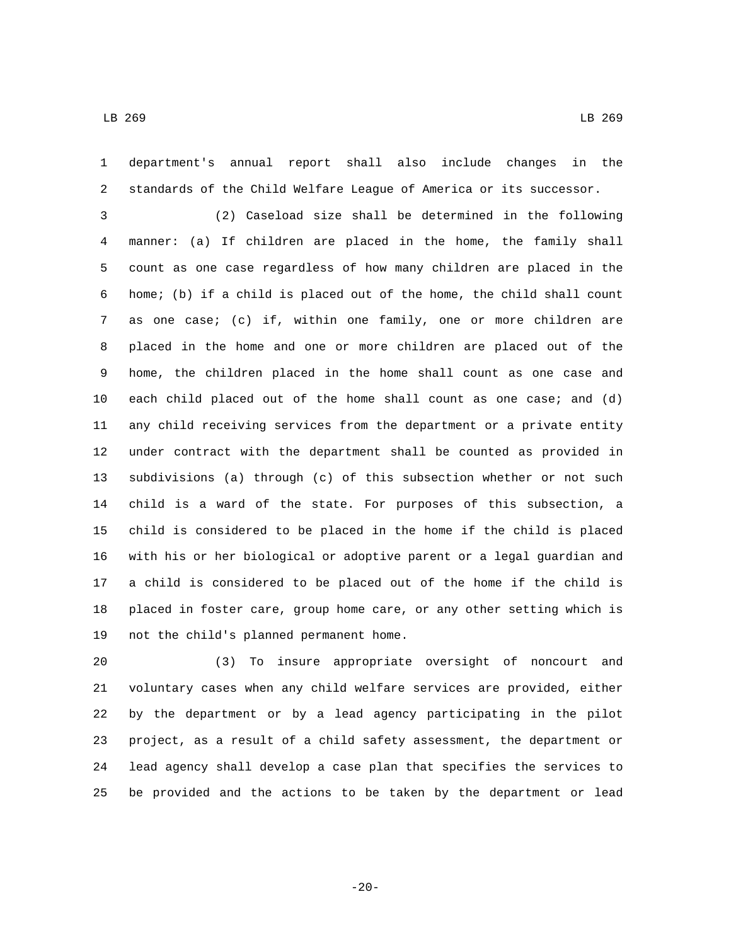department's annual report shall also include changes in the standards of the Child Welfare League of America or its successor.

 (2) Caseload size shall be determined in the following manner: (a) If children are placed in the home, the family shall count as one case regardless of how many children are placed in the home; (b) if a child is placed out of the home, the child shall count as one case; (c) if, within one family, one or more children are placed in the home and one or more children are placed out of the home, the children placed in the home shall count as one case and each child placed out of the home shall count as one case; and (d) any child receiving services from the department or a private entity under contract with the department shall be counted as provided in subdivisions (a) through (c) of this subsection whether or not such child is a ward of the state. For purposes of this subsection, a child is considered to be placed in the home if the child is placed with his or her biological or adoptive parent or a legal guardian and a child is considered to be placed out of the home if the child is placed in foster care, group home care, or any other setting which is 19 not the child's planned permanent home.

 (3) To insure appropriate oversight of noncourt and voluntary cases when any child welfare services are provided, either by the department or by a lead agency participating in the pilot project, as a result of a child safety assessment, the department or lead agency shall develop a case plan that specifies the services to be provided and the actions to be taken by the department or lead

-20-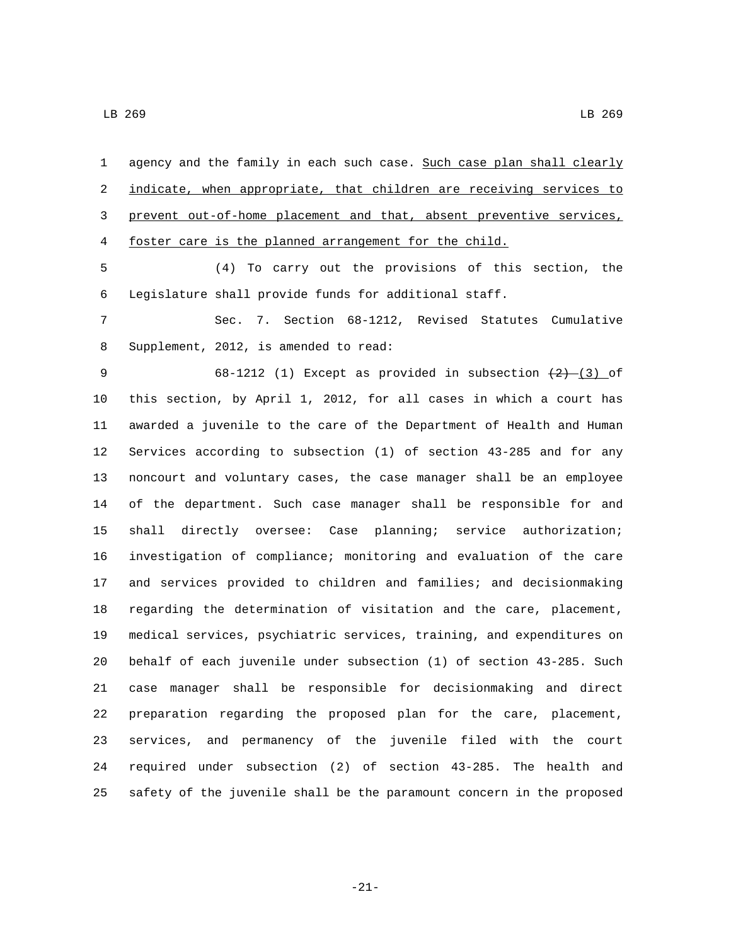1 agency and the family in each such case. Such case plan shall clearly 2 indicate, when appropriate, that children are receiving services to prevent out-of-home placement and that, absent preventive services, foster care is the planned arrangement for the child.

 (4) To carry out the provisions of this section, the Legislature shall provide funds for additional staff.

 Sec. 7. Section 68-1212, Revised Statutes Cumulative 8 Supplement, 2012, is amended to read:

9 68-1212 (1) Except as provided in subsection  $(2)$  (3) of this section, by April 1, 2012, for all cases in which a court has awarded a juvenile to the care of the Department of Health and Human Services according to subsection (1) of section 43-285 and for any noncourt and voluntary cases, the case manager shall be an employee of the department. Such case manager shall be responsible for and shall directly oversee: Case planning; service authorization; investigation of compliance; monitoring and evaluation of the care and services provided to children and families; and decisionmaking regarding the determination of visitation and the care, placement, medical services, psychiatric services, training, and expenditures on behalf of each juvenile under subsection (1) of section 43-285. Such case manager shall be responsible for decisionmaking and direct preparation regarding the proposed plan for the care, placement, services, and permanency of the juvenile filed with the court required under subsection (2) of section 43-285. The health and safety of the juvenile shall be the paramount concern in the proposed

-21-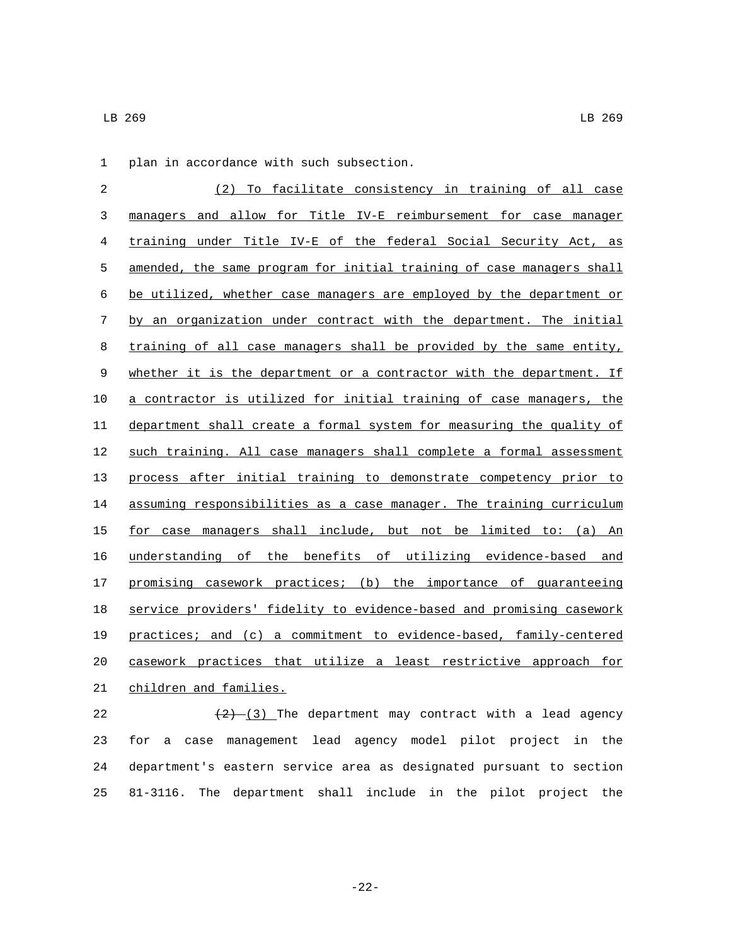1 plan in accordance with such subsection.

 (2) To facilitate consistency in training of all case managers and allow for Title IV-E reimbursement for case manager training under Title IV-E of the federal Social Security Act, as amended, the same program for initial training of case managers shall be utilized, whether case managers are employed by the department or by an organization under contract with the department. The initial 8 training of all case managers shall be provided by the same entity, 9 whether it is the department or a contractor with the department. If a contractor is utilized for initial training of case managers, the department shall create a formal system for measuring the quality of 12 such training. All case managers shall complete a formal assessment process after initial training to demonstrate competency prior to assuming responsibilities as a case manager. The training curriculum for case managers shall include, but not be limited to: (a) An understanding of the benefits of utilizing evidence-based and promising casework practices; (b) the importance of guaranteeing service providers' fidelity to evidence-based and promising casework practices; and (c) a commitment to evidence-based, family-centered casework practices that utilize a least restrictive approach for 21 children and families.

 $(2)-(3)$  The department may contract with a lead agency for a case management lead agency model pilot project in the department's eastern service area as designated pursuant to section 81-3116. The department shall include in the pilot project the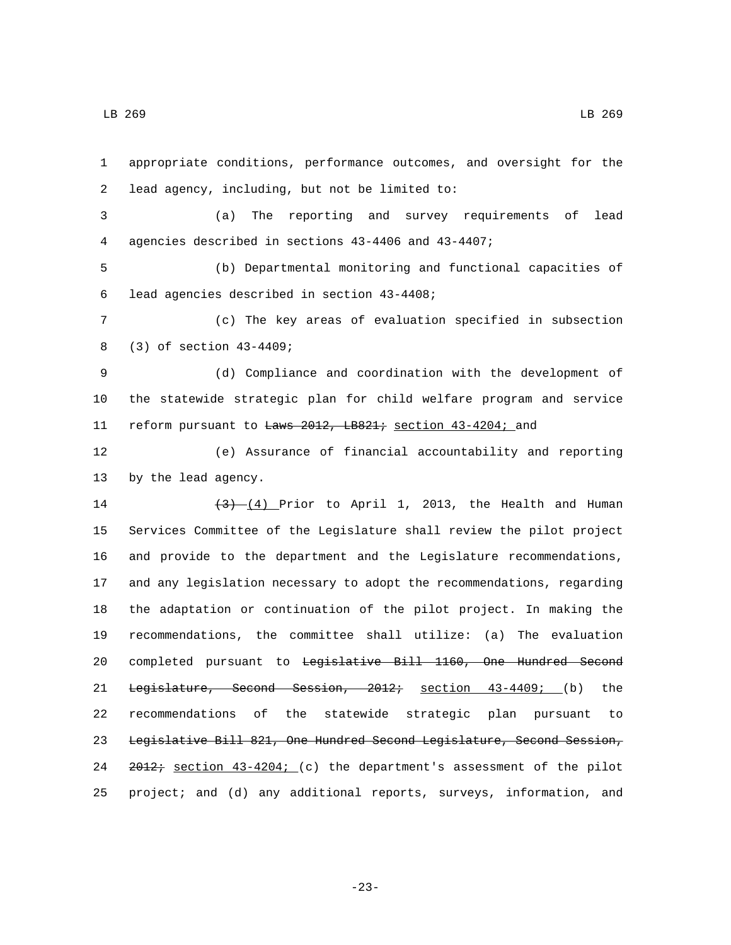appropriate conditions, performance outcomes, and oversight for the lead agency, including, but not be limited to:2 (a) The reporting and survey requirements of lead agencies described in sections 43-4406 and 43-4407; (b) Departmental monitoring and functional capacities of 6 lead agencies described in section 43-4408; (c) The key areas of evaluation specified in subsection 8 (3) of section 43-4409; (d) Compliance and coordination with the development of the statewide strategic plan for child welfare program and service 11 reform pursuant to Laws 2012, LB821; section 43-4204; and (e) Assurance of financial accountability and reporting 13 by the lead agency.  $\left(3\right)$   $\left(4\right)$  Prior to April 1, 2013, the Health and Human Services Committee of the Legislature shall review the pilot project and provide to the department and the Legislature recommendations, and any legislation necessary to adopt the recommendations, regarding the adaptation or continuation of the pilot project. In making the recommendations, the committee shall utilize: (a) The evaluation completed pursuant to Legislative Bill 1160, One Hundred Second 21 <del>Legislature, Second Session, 2012;</del> section 43-4409; (b) the recommendations of the statewide strategic plan pursuant to Legislative Bill 821, One Hundred Second Legislature, Second Session, 24 2012; section 43-4204; (c) the department's assessment of the pilot project; and (d) any additional reports, surveys, information, and

-23-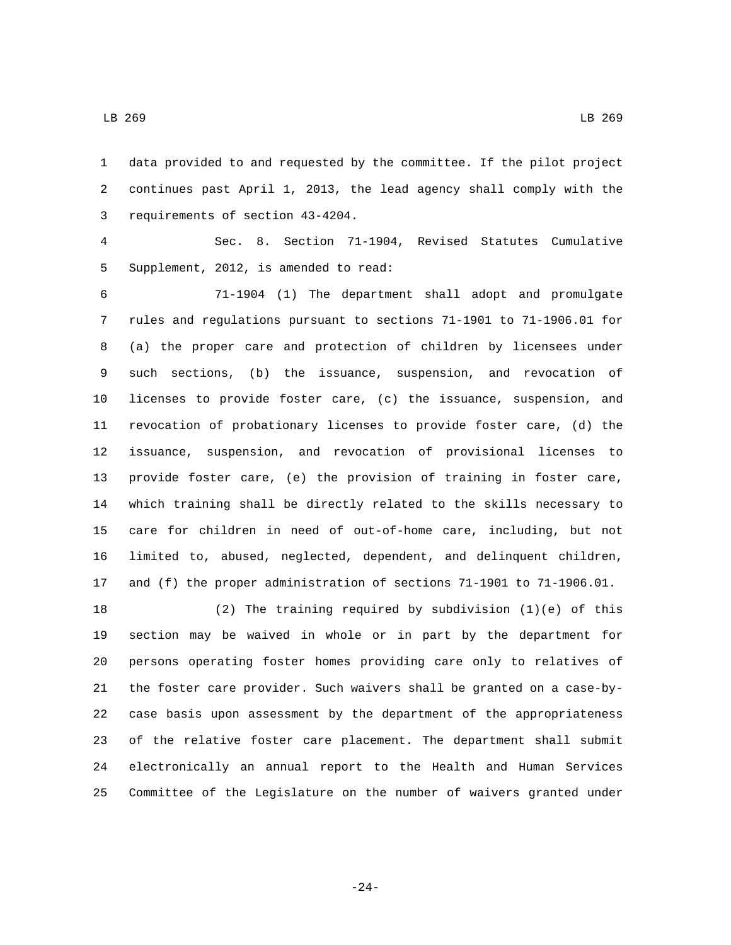data provided to and requested by the committee. If the pilot project continues past April 1, 2013, the lead agency shall comply with the 3 requirements of section 43-4204.

 Sec. 8. Section 71-1904, Revised Statutes Cumulative 5 Supplement, 2012, is amended to read:

 71-1904 (1) The department shall adopt and promulgate rules and regulations pursuant to sections 71-1901 to 71-1906.01 for (a) the proper care and protection of children by licensees under such sections, (b) the issuance, suspension, and revocation of licenses to provide foster care, (c) the issuance, suspension, and revocation of probationary licenses to provide foster care, (d) the issuance, suspension, and revocation of provisional licenses to provide foster care, (e) the provision of training in foster care, which training shall be directly related to the skills necessary to care for children in need of out-of-home care, including, but not limited to, abused, neglected, dependent, and delinquent children, and (f) the proper administration of sections 71-1901 to 71-1906.01.

 (2) The training required by subdivision (1)(e) of this section may be waived in whole or in part by the department for persons operating foster homes providing care only to relatives of the foster care provider. Such waivers shall be granted on a case-by- case basis upon assessment by the department of the appropriateness of the relative foster care placement. The department shall submit electronically an annual report to the Health and Human Services Committee of the Legislature on the number of waivers granted under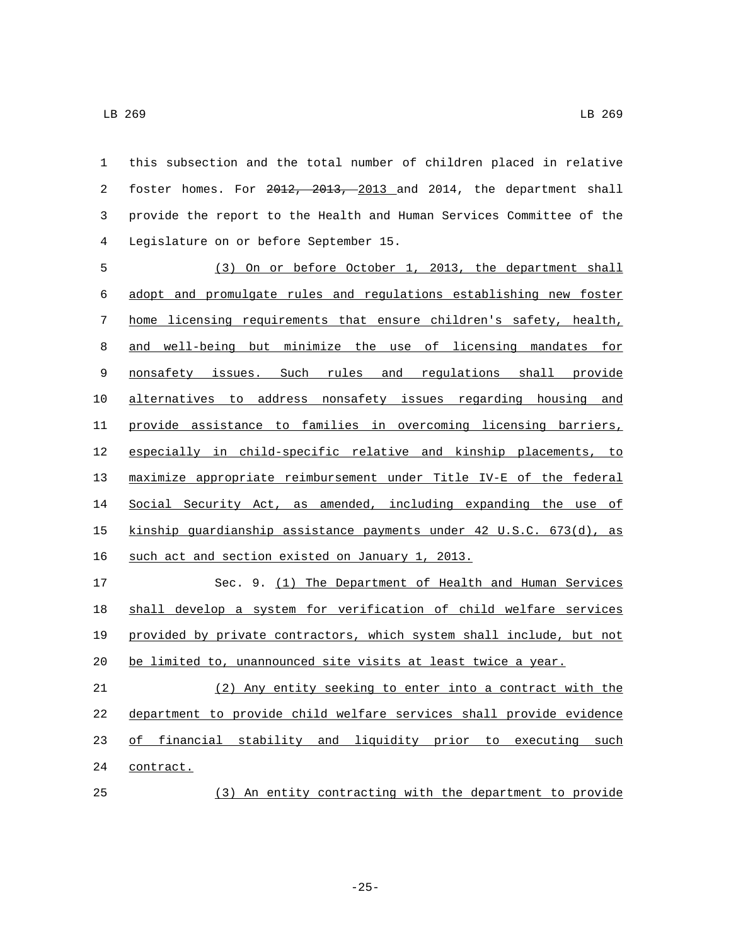this subsection and the total number of children placed in relative foster homes. For 2012, 2013, 2013 and 2014, the department shall provide the report to the Health and Human Services Committee of the Legislature on or before September 15.4

 (3) On or before October 1, 2013, the department shall adopt and promulgate rules and regulations establishing new foster home licensing requirements that ensure children's safety, health, and well-being but minimize the use of licensing mandates for nonsafety issues. Such rules and regulations shall provide alternatives to address nonsafety issues regarding housing and provide assistance to families in overcoming licensing barriers, especially in child-specific relative and kinship placements, to maximize appropriate reimbursement under Title IV-E of the federal 14 Social Security Act, as amended, including expanding the use of kinship guardianship assistance payments under 42 U.S.C. 673(d), as 16 such act and section existed on January 1, 2013.

 Sec. 9. (1) The Department of Health and Human Services shall develop a system for verification of child welfare services provided by private contractors, which system shall include, but not be limited to, unannounced site visits at least twice a year.

 (2) Any entity seeking to enter into a contract with the department to provide child welfare services shall provide evidence 23 of financial stability and liquidity prior to executing such 24 contract.

(3) An entity contracting with the department to provide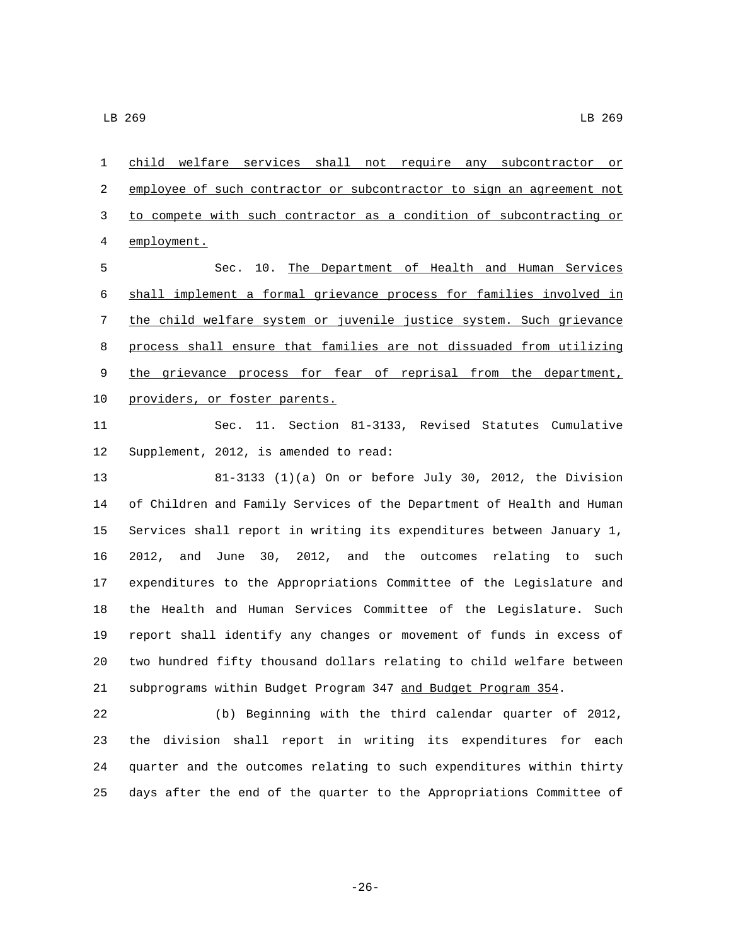child welfare services shall not require any subcontractor or employee of such contractor or subcontractor to sign an agreement not to compete with such contractor as a condition of subcontracting or 4 employment.

 Sec. 10. The Department of Health and Human Services shall implement a formal grievance process for families involved in the child welfare system or juvenile justice system. Such grievance process shall ensure that families are not dissuaded from utilizing 9 the grievance process for fear of reprisal from the department, 10 providers, or foster parents.

 Sec. 11. Section 81-3133, Revised Statutes Cumulative 12 Supplement, 2012, is amended to read:

 81-3133 (1)(a) On or before July 30, 2012, the Division of Children and Family Services of the Department of Health and Human Services shall report in writing its expenditures between January 1, 2012, and June 30, 2012, and the outcomes relating to such expenditures to the Appropriations Committee of the Legislature and the Health and Human Services Committee of the Legislature. Such report shall identify any changes or movement of funds in excess of two hundred fifty thousand dollars relating to child welfare between subprograms within Budget Program 347 and Budget Program 354.

 (b) Beginning with the third calendar quarter of 2012, the division shall report in writing its expenditures for each quarter and the outcomes relating to such expenditures within thirty days after the end of the quarter to the Appropriations Committee of

-26-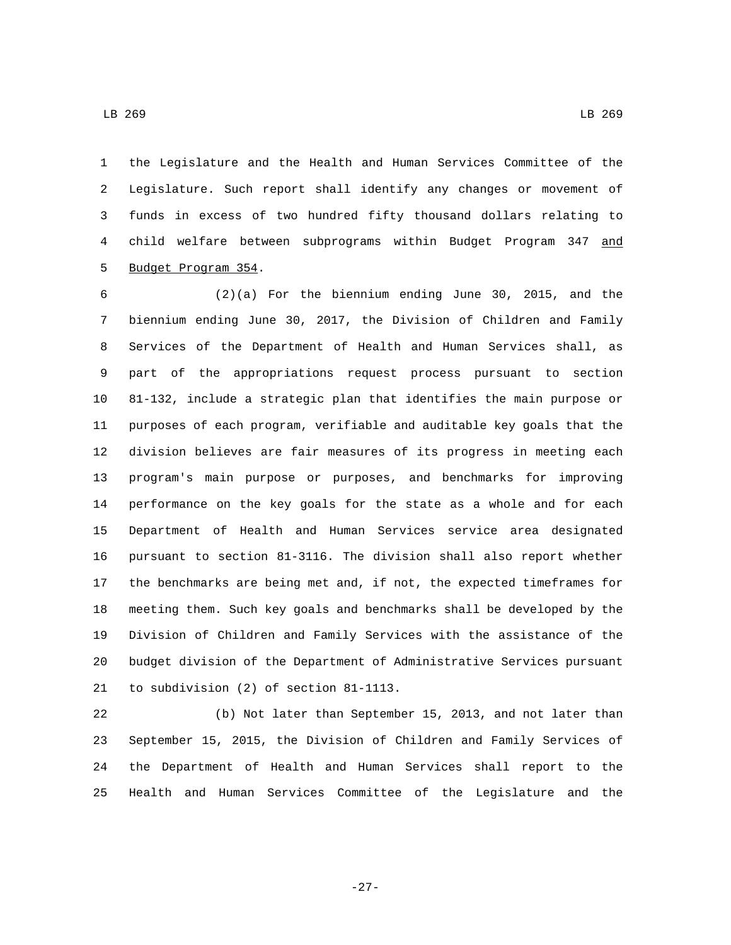the Legislature and the Health and Human Services Committee of the Legislature. Such report shall identify any changes or movement of funds in excess of two hundred fifty thousand dollars relating to child welfare between subprograms within Budget Program 347 and 5 Budget Program 354.

 (2)(a) For the biennium ending June 30, 2015, and the biennium ending June 30, 2017, the Division of Children and Family Services of the Department of Health and Human Services shall, as part of the appropriations request process pursuant to section 81-132, include a strategic plan that identifies the main purpose or purposes of each program, verifiable and auditable key goals that the division believes are fair measures of its progress in meeting each program's main purpose or purposes, and benchmarks for improving performance on the key goals for the state as a whole and for each Department of Health and Human Services service area designated pursuant to section 81-3116. The division shall also report whether the benchmarks are being met and, if not, the expected timeframes for meeting them. Such key goals and benchmarks shall be developed by the Division of Children and Family Services with the assistance of the budget division of the Department of Administrative Services pursuant 21 to subdivision (2) of section 81-1113.

 (b) Not later than September 15, 2013, and not later than September 15, 2015, the Division of Children and Family Services of the Department of Health and Human Services shall report to the Health and Human Services Committee of the Legislature and the

-27-